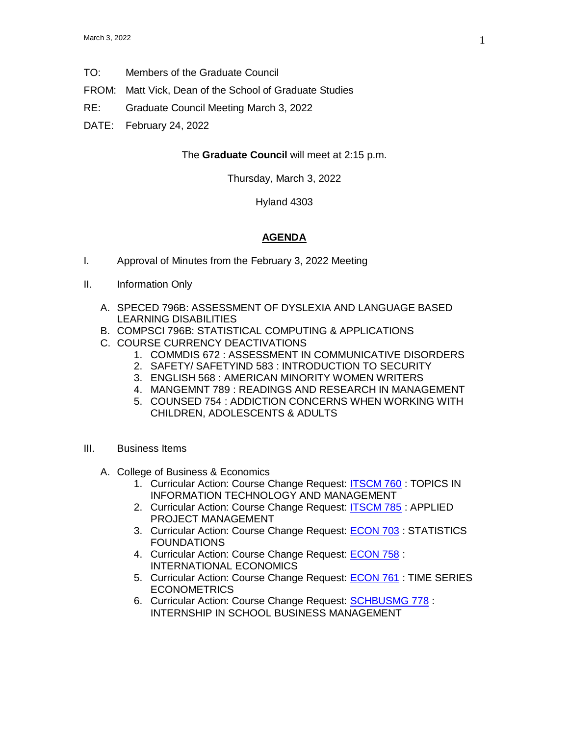- TO: Members of the Graduate Council
- FROM: Matt Vick, Dean of the School of Graduate Studies
- RE: Graduate Council Meeting March 3, 2022
- DATE: February 24, 2022

## The **Graduate Council** will meet at 2:15 p.m.

Thursday, March 3, 2022

Hyland 4303

## **AGENDA**

- I. Approval of Minutes from the February 3, 2022 Meeting
- II. Information Only
	- A. SPECED 796B: ASSESSMENT OF DYSLEXIA AND LANGUAGE BASED LEARNING DISABILITIES
	- B. COMPSCI 796B: STATISTICAL COMPUTING & APPLICATIONS
	- C. COURSE CURRENCY DEACTIVATIONS
		- 1. COMMDIS 672 : ASSESSMENT IN COMMUNICATIVE DISORDERS
		- 2. SAFETY/ SAFETYIND 583 : INTRODUCTION TO SECURITY
		- 3. ENGLISH 568 : AMERICAN MINORITY WOMEN WRITERS
		- 4. MANGEMNT 789 : READINGS AND RESEARCH IN MANAGEMENT
		- 5. COUNSED 754 : ADDICTION CONCERNS WHEN WORKING WITH CHILDREN, ADOLESCENTS & ADULTS
- III. Business Items
	- A. College of Business & Economics
		- 1. Curricular Action: Course Change Request: **ITSCM 760** : TOPICS IN INFORMATION TECHNOLOGY AND MANAGEMENT
		- 2. Curricular Action: Course Change Request: [ITSCM 785](https://uww-next.courseleaf.com/courseleaf/courseleaf.cgi?page=/courseadmin/3430/index.html&step=showfullrecord) : APPLIED PROJECT MANAGEMENT
		- 3. Curricular Action: Course Change Request: [ECON 703](https://uww-next.courseleaf.com/courseleaf/courseleaf.cgi?page=/courseadmin/794/index.html&step=showfullrecord) : STATISTICS FOUNDATIONS
		- 4. Curricular Action: Course Change Request: [ECON 758](https://uww-next.courseleaf.com/courseleaf/courseleaf.cgi?page=/courseadmin/801/index.html&step=showfullrecord) : INTERNATIONAL ECONOMICS
		- 5. Curricular Action: Course Change Request: [ECON 761](https://uww-next.courseleaf.com/courseleaf/courseleaf.cgi?page=/courseadmin/802/index.html&step=showfullrecord) : TIME SERIES **ECONOMETRICS**
		- 6. Curricular Action: Course Change Request: [SCHBUSMG 778](https://uww-next.courseleaf.com/courseleaf/courseleaf.cgi?page=/courseadmin/983/index.html&step=showfullrecord) : INTERNSHIP IN SCHOOL BUSINESS MANAGEMENT